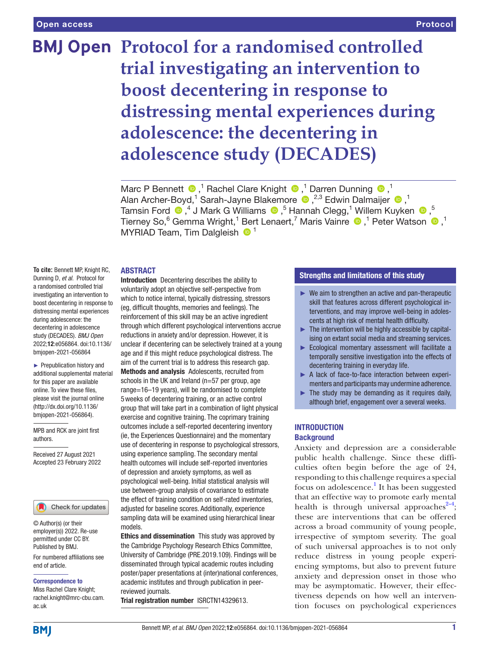# **BMJ Open Protocol for a randomised controlled trial investigating an intervention to boost decentering in response to distressing mental experiences during adolescence: the decentering in adolescence study (DECADES)**

MarcP Bennett  $\bullet$ ,<sup>1</sup> Rachel Clare Knight  $\bullet$ ,<sup>1</sup> Darren Dunning  $\bullet$ ,<sup>1</sup> AlanArcher-Boyd,<sup>1</sup> Sarah-Jayne Blakemore (D, <sup>2,3</sup> Edwin Dalmaijer (D, <sup>1</sup>) TamsinFord  $\bigcirc$  ,<sup>4</sup> J Mark G Williams  $\bigcirc$  ,<sup>5</sup> Hannah Clegg,<sup>1</sup> Willem Kuyken  $\bigcirc$  ,<sup>5</sup> Tierney So,<sup>6</sup> Gemma Wright,<sup>1</sup> Bert Lenaert,<sup>7</sup> Maris Vainre  $\bigcirc$  ,<sup>1</sup> Peter Watson  $\bigcirc$  ,<sup>1</sup> MYRIAD Team, Tim Dalgleish <sup>1</sup>

#### ABSTRACT

**To cite:** Bennett MP, Knight RC, Dunning D, *et al*. Protocol for a randomised controlled trial investigating an intervention to boost decentering in response to distressing mental experiences during adolescence: the decentering in adolescence study (DECADES). *BMJ Open* 2022;12:e056864. doi:10.1136/ bmjopen-2021-056864

► Prepublication history and additional supplemental material for this paper are available online. To view these files, please visit the journal online [\(http://dx.doi.org/10.1136/](http://dx.doi.org/10.1136/bmjopen-2021-056864) [bmjopen-2021-056864](http://dx.doi.org/10.1136/bmjopen-2021-056864)).

MPB and RCK are joint first authors.

Received 27 August 2021 Accepted 23 February 2022

#### Check for updates

© Author(s) (or their employer(s)) 2022. Re-use permitted under CC BY. Published by BMJ.

For numbered affiliations see end of article.

#### Correspondence to

Miss Rachel Clare Knight; rachel.knight@mrc-cbu.cam. ac.uk

Introduction Decentering describes the ability to voluntarily adopt an objective self-perspective from which to notice internal, typically distressing, stressors (eg, difficult thoughts, memories and feelings). The reinforcement of this skill may be an active ingredient through which different psychological interventions accrue reductions in anxiety and/or depression. However, it is unclear if decentering can be selectively trained at a young age and if this might reduce psychological distress. The aim of the current trial is to address this research gap. Methods and analysis Adolescents, recruited from schools in the UK and Ireland (n=57 per group, age range=16–19 years), will be randomised to complete 5weeks of decentering training, or an active control group that will take part in a combination of light physical exercise and cognitive training. The coprimary training outcomes include a self-reported decentering inventory (ie, the Experiences Questionnaire) and the momentary use of decentering in response to psychological stressors, using experience sampling. The secondary mental health outcomes will include self-reported inventories of depression and anxiety symptoms, as well as psychological well-being. Initial statistical analysis will use between-group analysis of covariance to estimate the effect of training condition on self-rated inventories, adjusted for baseline scores. Additionally, experience sampling data will be examined using hierarchical linear

models.

Ethics and dissemination This study was approved by the Cambridge Psychology Research Ethics Committee, University of Cambridge (PRE.2019.109). Findings will be disseminated through typical academic routes including poster/paper presentations at (inter)national conferences, academic institutes and through publication in peerreviewed journals.

Trial registration number <ISRCTN14329613>.

## Strengths and limitations of this study

- $\blacktriangleright$  We aim to strengthen an active and pan-therapeutic skill that features across different psychological interventions, and may improve well-being in adolescents at high risk of mental health difficulty.
- $\blacktriangleright$  The intervention will be highly accessible by capitalising on extant social media and streaming services.
- ► Ecological momentary assessment will facilitate a temporally sensitive investigation into the effects of decentering training in everyday life.
- ► A lack of face-to-face interaction between experimenters and participants may undermine adherence.
- $\blacktriangleright$  The study may be demanding as it requires daily, although brief, engagement over a several weeks.

#### **INTRODUCTION Background**

Anxiety and depression are a considerable public health challenge. Since these difficulties often begin before the age of 24, responding to this challenge requires a special focus on adolescence.<sup>1</sup> It has been suggested that an effective way to promote early mental health is through universal approaches<sup> $2-4$ </sup>; these are interventions that can be offered across a broad community of young people, irrespective of symptom severity. The goal of such universal approaches is to not only reduce distress in young people experiencing symptoms, but also to prevent future anxiety and depression onset in those who may be asymptomatic. However, their effectiveness depends on how well an intervention focuses on psychological experiences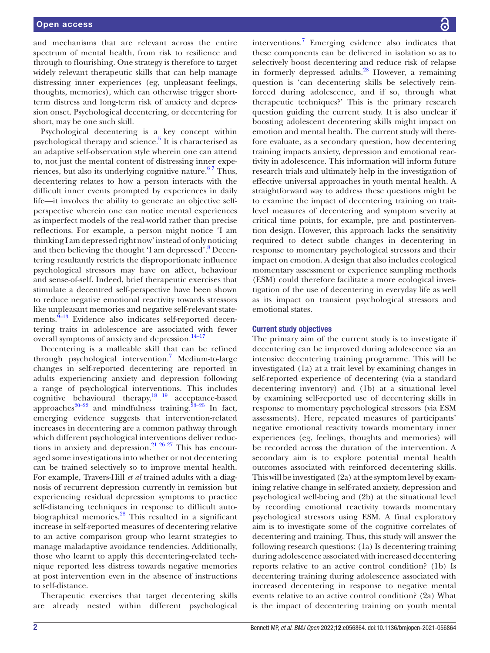and mechanisms that are relevant across the entire spectrum of mental health, from risk to resilience and through to flourishing. One strategy is therefore to target widely relevant therapeutic skills that can help manage distressing inner experiences (eg, unpleasant feelings, thoughts, memories), which can otherwise trigger shortterm distress and long-term risk of anxiety and depression onset. Psychological decentering, or decentering for short, may be one such skill.

Psychological decentering is a key concept within psychological therapy and science.<sup>5</sup> It is characterised as an adaptive self-observation style wherein one can attend to, not just the mental content of distressing inner experiences, but also its underlying cognitive nature.<sup>67</sup> Thus, decentering relates to how a person interacts with the difficult inner events prompted by experiences in daily life—it involves the ability to generate an objective selfperspective wherein one can notice mental experiences as imperfect models of the real-world rather than precise reflections. For example, a person might notice 'I am thinking I am depressed right now' instead of only noticing and then believing the thought 'I am depressed'.<sup>[8](#page-10-4)</sup> Decentering resultantly restricts the disproportionate influence psychological stressors may have on affect, behaviour and sense-of-self. Indeed, brief therapeutic exercises that stimulate a decentred self-perspective have been shown to reduce negative emotional reactivity towards stressors like unpleasant memories and negative self-relevant statements. $9-13$  Evidence also indicates self-reported decentering traits in adolescence are associated with fewer overall symptoms of anxiety and depression.<sup>14-17</sup>

Decentering is a malleable skill that can be refined through psychological intervention.<sup>[7](#page-10-7)</sup> Medium-to-large changes in self-reported decentering are reported in adults experiencing anxiety and depression following a range of psychological interventions. This includes cognitive behavioural therapy, $18 \frac{19}{2}$  acceptance-based approaches<sup>20–22</sup> and mindfulness training.<sup>23–25</sup> In fact, emerging evidence suggests that intervention-related increases in decentering are a common pathway through which different psychological interventions deliver reductions in anxiety and depression.<sup>21 26 27</sup> This has encouraged some investigations into whether or not decentering can be trained selectively so to improve mental health. For example, Travers-Hill *et al* trained adults with a diagnosis of recurrent depression currently in remission but experiencing residual depression symptoms to practice self-distancing techniques in response to difficult autobiographical memories.<sup>28</sup> This resulted in a significant increase in self-reported measures of decentering relative to an active comparison group who learnt strategies to manage maladaptive avoidance tendencies. Additionally, those who learnt to apply this decentering-related technique reported less distress towards negative memories at post intervention even in the absence of instructions to self-distance.

Therapeutic exercises that target decentering skills are already nested within different psychological

interventions.<sup>7</sup> Emerging evidence also indicates that these components can be delivered in isolation so as to selectively boost decentering and reduce risk of relapse in formerly depressed adults.<sup>[28](#page-10-12)</sup> However, a remaining question is 'can decentering skills be selectively reinforced during adolescence, and if so, through what therapeutic techniques?' This is the primary research question guiding the current study. It is also unclear if boosting adolescent decentering skills might impact on emotion and mental health. The current study will therefore evaluate, as a secondary question, how decentering training impacts anxiety, depression and emotional reactivity in adolescence. This information will inform future research trials and ultimately help in the investigation of effective universal approaches in youth mental health. A straightforward way to address these questions might be to examine the impact of decentering training on traitlevel measures of decentering and symptom severity at critical time points, for example, pre and postintervention design. However, this approach lacks the sensitivity required to detect subtle changes in decentering in response to momentary psychological stressors and their impact on emotion. A design that also includes ecological momentary assessment or experience sampling methods (ESM) could therefore facilitate a more ecological investigation of the use of decentering in everyday life as well as its impact on transient psychological stressors and emotional states.

#### Current study objectives

The primary aim of the current study is to investigate if decentering can be improved during adolescence via an intensive decentering training programme. This will be investigated (1a) at a trait level by examining changes in self-reported experience of decentering (via a standard decentering inventory) and (1b) at a situational level by examining self-reported use of decentering skills in response to momentary psychological stressors (via ESM assessments). Here, repeated measures of participants' negative emotional reactivity towards momentary inner experiences (eg, feelings, thoughts and memories) will be recorded across the duration of the intervention. A secondary aim is to explore potential mental health outcomes associated with reinforced decentering skills. This will be investigated (2a) at the symptom level by examining relative change in self-rated anxiety, depression and psychological well-being and (2b) at the situational level by recording emotional reactivity towards momentary psychological stressors using ESM. A final exploratory aim is to investigate some of the cognitive correlates of decentering and training. Thus, this study will answer the following research questions: (1a) Is decentering training during adolescence associated with increased decentering reports relative to an active control condition? (1b) Is decentering training during adolescence associated with increased decentering in response to negative mental events relative to an active control condition? (2a) What is the impact of decentering training on youth mental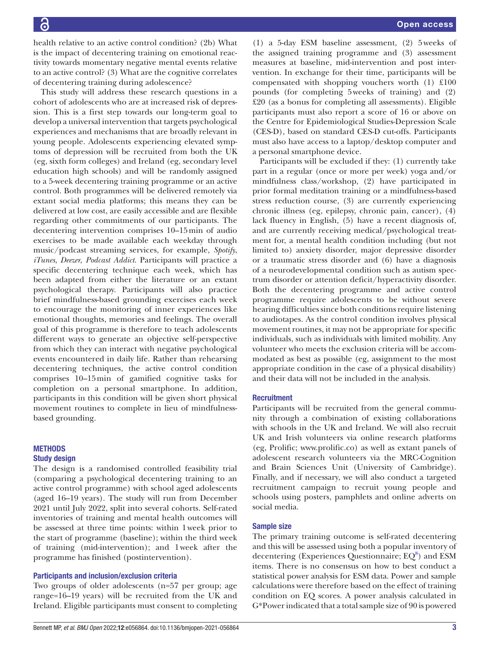health relative to an active control condition? (2b) What is the impact of decentering training on emotional reactivity towards momentary negative mental events relative to an active control? (3) What are the cognitive correlates of decentering training during adolescence?

This study will address these research questions in a cohort of adolescents who are at increased risk of depression. This is a first step towards our long-term goal to develop a universal intervention that targets psychological experiences and mechanisms that are broadly relevant in young people. Adolescents experiencing elevated symptoms of depression will be recruited from both the UK (eg, sixth form colleges) and Ireland (eg, secondary level education high schools) and will be randomly assigned to a 5-week decentering training programme or an active control. Both programmes will be delivered remotely via extant social media platforms; this means they can be delivered at low cost, are easily accessible and are flexible regarding other commitments of our participants. The decentering intervention comprises 10–15min of audio exercises to be made available each weekday through music/podcast streaming services, for example, *Spotify*, *iTunes*, *Deezer*, *Podcast Addict*. Participants will practice a specific decentering technique each week, which has been adapted from either the literature or an extant psychological therapy. Participants will also practice brief mindfulness-based grounding exercises each week to encourage the monitoring of inner experiences like emotional thoughts, memories and feelings. The overall goal of this programme is therefore to teach adolescents different ways to generate an objective self-perspective from which they can interact with negative psychological events encountered in daily life. Rather than rehearsing decentering techniques, the active control condition comprises 10–15min of gamified cognitive tasks for completion on a personal smartphone. In addition, participants in this condition will be given short physical movement routines to complete in lieu of mindfulnessbased grounding.

# **METHODS**

# Study design

The design is a randomised controlled feasibility trial (comparing a psychological decentering training to an active control programme) with school aged adolescents (aged 16–19 years). The study will run from December 2021 until July 2022, split into several cohorts. Self-rated inventories of training and mental health outcomes will be assessed at three time points: within 1week prior to the start of programme (baseline); within the third week of training (mid-intervention); and 1week after the programme has finished (postintervention).

#### Participants and inclusion/exclusion criteria

Two groups of older adolescents (n=57 per group; age range=16–19 years) will be recruited from the UK and Ireland. Eligible participants must consent to completing

(1) a 5-day ESM baseline assessment, (2) 5weeks of the assigned training programme and (3) assessment measures at baseline, mid-intervention and post intervention. In exchange for their time, participants will be compensated with shopping vouchers worth (1) £100 pounds (for completing 5weeks of training) and (2) £20 (as a bonus for completing all assessments). Eligible participants must also report a score of 16 or above on the Centre for Epidemiological Studies-Depression Scale (CES-D), based on standard CES-D cut-offs. Participants must also have access to a laptop/desktop computer and a personal smartphone device.

Participants will be excluded if they: (1) currently take part in a regular (once or more per week) yoga and/or mindfulness class/workshop, (2) have participated in prior formal meditation training or a mindfulness-based stress reduction course, (3) are currently experiencing chronic illness (eg, epilepsy, chronic pain, cancer), (4) lack fluency in English, (5) have a recent diagnosis of, and are currently receiving medical/psychological treatment for, a mental health condition including (but not limited to) anxiety disorder, major depressive disorder or a traumatic stress disorder and (6) have a diagnosis of a neurodevelopmental condition such as autism spectrum disorder or attention deficit/hyperactivity disorder. Both the decentering programme and active control programme require adolescents to be without severe hearing difficulties since both conditions require listening to audiotapes. As the control condition involves physical movement routines, it may not be appropriate for specific individuals, such as individuals with limited mobility. Any volunteer who meets the exclusion criteria will be accommodated as best as possible (eg, assignment to the most appropriate condition in the case of a physical disability) and their data will not be included in the analysis.

#### **Recruitment**

Participants will be recruited from the general community through a combination of existing collaborations with schools in the UK and Ireland. We will also recruit UK and Irish volunteers via online research platforms (eg, Prolific; [www.prolific.co\)](www.prolific.co) as well as extant panels of adolescent research volunteers via the MRC-Cognition and Brain Sciences Unit (University of Cambridge). Finally, and if necessary, we will also conduct a targeted recruitment campaign to recruit young people and schools using posters, pamphlets and online adverts on social media.

#### Sample size

The primary training outcome is self-rated decentering and this will be assessed using both a popular inventory of decentering (Experiences Questionnaire;  $EQ^8$  $EQ^8$ ) and ESM items. There is no consensus on how to best conduct a statistical power analysis for ESM data. Power and sample calculations were therefore based on the effect of training condition on EQ scores. A power analysis calculated in G\*Power indicated that a total sample size of 90 is powered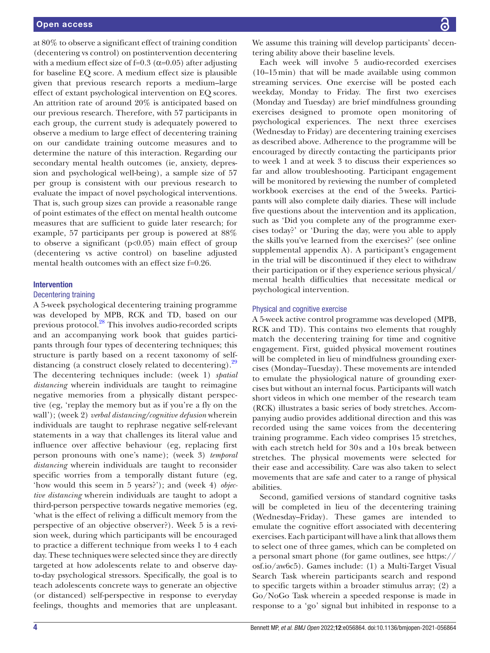at 80% to observe a significant effect of training condition (decentering vs control) on postintervention decentering with a medium effect size of f=0.3 ( $\alpha$ =0.05) after adjusting for baseline EQ score. A medium effect size is plausible given that previous research reports a medium–large effect of extant psychological intervention on EQ scores. An attrition rate of around 20% is anticipated based on our previous research. Therefore, with 57 participants in each group, the current study is adequately powered to observe a medium to large effect of decentering training on our candidate training outcome measures and to determine the nature of this interaction. Regarding our secondary mental health outcomes (ie, anxiety, depression and psychological well-being), a sample size of 57 per group is consistent with our previous research to evaluate the impact of novel psychological interventions. That is, such group sizes can provide a reasonable range of point estimates of the effect on mental health outcome measures that are sufficient to guide later research; for example, 57 participants per group is powered at 88% to observe a significant  $(p<0.05)$  main effect of group (decentering vs active control) on baseline adjusted mental health outcomes with an effect size f=0.26.

#### Intervention

#### Decentering training

A 5-week psychological decentering training programme was developed by MPB, RCK and TD, based on our previous protocol[.28](#page-10-12) This involves audio-recorded scripts and an accompanying work book that guides participants through four types of decentering techniques; this structure is partly based on a recent taxonomy of self-distancing (a construct closely related to decentering).<sup>[29](#page-10-13)</sup> The decentering techniques include: (week 1) *spatial distancing* wherein individuals are taught to reimagine negative memories from a physically distant perspective (eg, 'replay the memory but as if you're a fly on the wall'); (week 2) *verbal distancing/cognitive defusion* wherein individuals are taught to rephrase negative self-relevant statements in a way that challenges its literal value and influence over affective behaviour (eg, replacing first person pronouns with one's name); (week 3) *temporal distancing* wherein individuals are taught to reconsider specific worries from a temporally distant future (eg, 'how would this seem in 5 years?'); and (week 4) *objective distancing* wherein individuals are taught to adopt a third-person perspective towards negative memories (eg, 'what is the effect of reliving a difficult memory from the perspective of an objective observer?). Week 5 is a revision week, during which participants will be encouraged to practice a different technique from weeks 1 to 4 each day. These techniques were selected since they are directly targeted at how adolescents relate to and observe dayto-day psychological stressors. Specifically, the goal is to teach adolescents concrete ways to generate an objective (or distanced) self-perspective in response to everyday feelings, thoughts and memories that are unpleasant.

We assume this training will develop participants' decentering ability above their baseline levels.

Each week will involve 5 audio-recorded exercises (10–15min) that will be made available using common streaming services. One exercise will be posted each weekday, Monday to Friday. The first two exercises (Monday and Tuesday) are brief mindfulness grounding exercises designed to promote open monitoring of psychological experiences. The next three exercises (Wednesday to Friday) are decentering training exercises as described above. Adherence to the programme will be encouraged by directly contacting the participants prior to week 1 and at week 3 to discuss their experiences so far and allow troubleshooting. Participant engagement will be monitored by reviewing the number of completed workbook exercises at the end of the 5weeks. Participants will also complete daily diaries. These will include five questions about the intervention and its application, such as 'Did you complete any of the programme exercises today?' or 'During the day, were you able to apply the skills you've learned from the exercises?' (see [online](https://dx.doi.org/10.1136/bmjopen-2021-056864)  [supplemental appendix A\)](https://dx.doi.org/10.1136/bmjopen-2021-056864). A participant's engagement in the trial will be discontinued if they elect to withdraw their participation or if they experience serious physical/ mental health difficulties that necessitate medical or psychological intervention.

#### Physical and cognitive exercise

A 5-week active control programme was developed (MPB, RCK and TD). This contains two elements that roughly match the decentering training for time and cognitive engagement. First, guided physical movement routines will be completed in lieu of mindfulness grounding exercises (Monday–Tuesday). These movements are intended to emulate the physiological nature of grounding exercises but without an internal focus. Participants will watch short videos in which one member of the research team (RCK) illustrates a basic series of body stretches. Accompanying audio provides additional direction and this was recorded using the same voices from the decentering training programme. Each video comprises 15 stretches, with each stretch held for 30s and a 10s break between stretches. The physical movements were selected for their ease and accessibility. Care was also taken to select movements that are safe and cater to a range of physical abilities.

Second, gamified versions of standard cognitive tasks will be completed in lieu of the decentering training (Wednesday–Friday). These games are intended to emulate the cognitive effort associated with decentering exercises. Each participant will have a link that allows them to select one of three games, which can be completed on a personal smart phone (for game outlines, see [https://](https://osf.io/aw6c5) [osf.io/aw6c5](https://osf.io/aw6c5)). Games include: (1) a Multi-Target Visual Search Task wherein participants search and respond to specific targets within a broader stimulus array; (2) a Go/NoGo Task wherein a speeded response is made in response to a 'go' signal but inhibited in response to a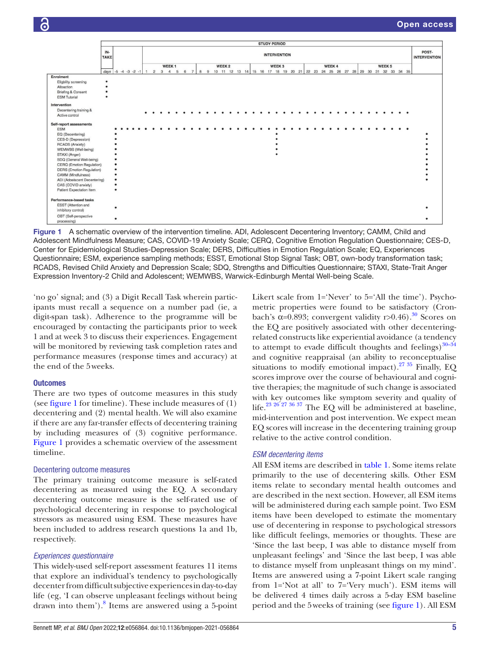

<span id="page-4-0"></span>Figure 1 A schematic overview of the intervention timeline. ADI, Adolescent Decentering Inventory; CAMM, Child and Adolescent Mindfulness Measure; CAS, COVID-19 Anxiety Scale; CERQ, Cognitive Emotion Regulation Questionnaire; CES-D, Center for Epidemiological Studies-Depression Scale; DERS, Difficulties in Emotion Regulation Scale; EQ, Experiences Questionnaire; ESM, experience sampling methods; ESST, Emotional Stop Signal Task; OBT, own-body transformation task; RCADS, Revised Child Anxiety and Depression Scale; SDQ, Strengths and Difficulties Questionnaire; STAXI, State-Trait Anger Expression Inventory-2 Child and Adolescent; WEMWBS, Warwick-Edinburgh Mental Well-being Scale.

'no go' signal; and (3) a Digit Recall Task wherein participants must recall a sequence on a number pad (ie, a digit-span task). Adherence to the programme will be encouraged by contacting the participants prior to week 1 and at week 3 to discuss their experiences. Engagement will be monitored by reviewing task completion rates and performance measures (response times and accuracy) at the end of the 5weeks.

#### **Outcomes**

There are two types of outcome measures in this study (see [figure](#page-4-0) 1 for timeline). These include measures of (1) decentering and (2) mental health. We will also examine if there are any far-transfer effects of decentering training by including measures of (3) cognitive performance. [Figure](#page-4-0) 1 provides a schematic overview of the assessment timeline.

#### Decentering outcome measures

The primary training outcome measure is self-rated decentering as measured using the EQ. A secondary decentering outcome measure is the self-rated use of psychological decentering in response to psychological stressors as measured using ESM. These measures have been included to address research questions 1a and 1b, respectively.

#### *Experiences questionnaire*

This widely-used self-report assessment features 11 items that explore an individual's tendency to psychologically decenter from difficult subjective experiences in day-to-day life (eg, 'I can observe unpleasant feelings without being drawn into them').<sup>8</sup> Items are answered using a 5-point

Likert scale from 1='Never' to 5='All the time'). Psychometric properties were found to be satisfactory (Cronbach's  $\alpha$ =0.893; convergent validity r>0.46).<sup>30</sup> Scores on the EQ are positively associated with other decenteringrelated constructs like experiential avoidance (a tendency to attempt to evade difficult thoughts and feelings) $30-34$ and cognitive reappraisal (an ability to reconceptualise situations to modify emotional impact).<sup>27 35</sup> Finally, EQ scores improve over the course of behavioural and cognitive therapies; the magnitude of such change is associated with key outcomes like symptom severity and quality of life[.23 26 27 36 37](#page-10-10) The EQ will be administered at baseline, mid-intervention and post intervention. We expect mean EQ scores will increase in the decentering training group relative to the active control condition.

#### *ESM decentering items*

All ESM items are described in [table](#page-5-0) 1. Some items relate primarily to the use of decentering skills. Other ESM items relate to secondary mental health outcomes and are described in the next section. However, all ESM items will be administered during each sample point. Two ESM items have been developed to estimate the momentary use of decentering in response to psychological stressors like difficult feelings, memories or thoughts. These are 'Since the last beep, I was able to distance myself from unpleasant feelings' and 'Since the last beep, I was able to distance myself from unpleasant things on my mind'. Items are answered using a 7-point Likert scale ranging from 1='Not at all' to 7='Very much'). ESM items will be delivered 4 times daily across a 5-day ESM baseline period and the 5weeks of training (see [figure](#page-4-0) 1). All ESM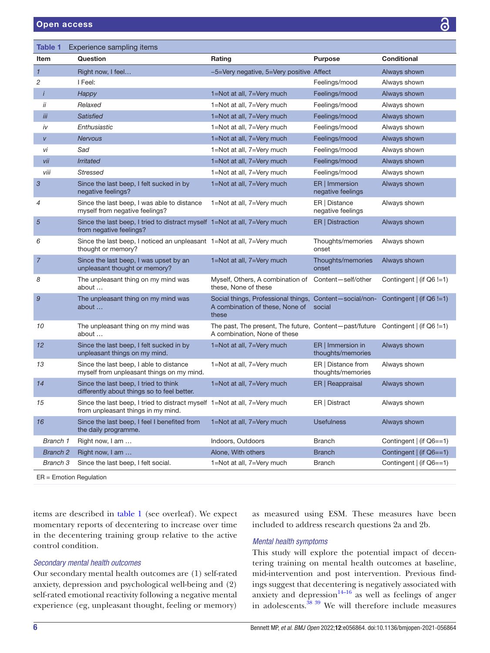<span id="page-5-0"></span>

| <b>Table 1</b>  | Experience sampling items                                                                                       |                                                                                                                   |                                         |                            |
|-----------------|-----------------------------------------------------------------------------------------------------------------|-------------------------------------------------------------------------------------------------------------------|-----------------------------------------|----------------------------|
| Item            | Question                                                                                                        | Rating                                                                                                            | <b>Purpose</b>                          | <b>Conditional</b>         |
| $\mathbf{1}$    | Right now, I feel                                                                                               | -5=Very negative, 5=Very positive Affect                                                                          |                                         | Always shown               |
| $\overline{c}$  | I Feel:                                                                                                         |                                                                                                                   | Feelings/mood                           | Always shown               |
| $\ddot{i}$      | Happy                                                                                                           | 1=Not at all, 7=Very much                                                                                         | Feelings/mood                           | Always shown               |
| ii              | Relaxed                                                                                                         | 1=Not at all, 7=Very much                                                                                         | Feelings/mood                           | Always shown               |
| iii             | <b>Satisfied</b>                                                                                                | 1=Not at all, 7=Very much                                                                                         | Feelings/mood                           | Always shown               |
| iv              | Enthusiastic                                                                                                    | 1=Not at all, 7=Very much                                                                                         | Feelings/mood                           | Always shown               |
| V               | <b>Nervous</b>                                                                                                  | 1=Not at all, 7=Very much                                                                                         | Feelings/mood                           | Always shown               |
| vi              | Sad                                                                                                             | 1=Not at all, 7=Very much                                                                                         | Feelings/mood                           | Always shown               |
| vii             | <b>Irritated</b>                                                                                                | 1=Not at all, 7=Very much                                                                                         | Feelings/mood                           | Always shown               |
| viii            | Stressed                                                                                                        | 1=Not at all, 7=Very much                                                                                         | Feelings/mood                           | Always shown               |
| 3               | Since the last beep, I felt sucked in by<br>negative feelings?                                                  | 1=Not at all, 7=Very much                                                                                         | ER   Immersion<br>negative feelings     | Always shown               |
| 4               | Since the last beep, I was able to distance<br>myself from negative feelings?                                   | 1=Not at all, 7=Very much                                                                                         | ER   Distance<br>negative feelings      | Always shown               |
| $\sqrt{5}$      | Since the last beep, I tried to distract myself 1=Not at all, 7=Very much<br>from negative feelings?            |                                                                                                                   | ER   Distraction                        | Always shown               |
| 6               | Since the last beep, I noticed an unpleasant 1=Not at all, 7=Very much<br>thought or memory?                    |                                                                                                                   | Thoughts/memories<br>onset              | Always shown               |
| $\overline{7}$  | Since the last beep, I was upset by an<br>unpleasant thought or memory?                                         | 1=Not at all, 7=Very much                                                                                         | Thoughts/memories<br>onset              | Always shown               |
| 8               | The unpleasant thing on my mind was<br>about                                                                    | Myself, Others, A combination of<br>these, None of these                                                          | Content-self/other                      | Contingent $ $ (if Q6 !=1) |
| 9               | The unpleasant thing on my mind was<br>about                                                                    | Social things, Professional things, Content-social/non-<br>A combination of these, None of<br>these               | social                                  | Contingent $ $ (if Q6 !=1) |
| 10              | The unpleasant thing on my mind was<br>about                                                                    | The past, The present, The future, Content-past/future Contingent $ $ (if Q6 !=1)<br>A combination, None of these |                                         |                            |
| 12              | Since the last beep, I felt sucked in by<br>unpleasant things on my mind.                                       | 1=Not at all, 7=Very much                                                                                         | ER   Immersion in<br>thoughts/memories  | Always shown               |
| 13              | Since the last beep, I able to distance<br>myself from unpleasant things on my mind.                            | 1=Not at all, 7=Very much                                                                                         | ER   Distance from<br>thoughts/memories | Always shown               |
| 14              | Since the last beep, I tried to think<br>differently about things so to feel better.                            | 1=Not at all, 7=Very much                                                                                         | ER   Reappraisal                        | Always shown               |
| 15              | Since the last beep, I tried to distract myself 1=Not at all, 7=Very much<br>from unpleasant things in my mind. |                                                                                                                   | ER   Distract                           | Always shown               |
| 16              | Since the last beep, I feel I benefited from<br>the daily programme.                                            | 1=Not at all, 7=Very much                                                                                         | <b>Usefulness</b>                       | Always shown               |
| Branch 1        | Right now, I am                                                                                                 | Indoors, Outdoors                                                                                                 | Branch                                  | Contingent   (if Q6==1)    |
| <b>Branch 2</b> | Right now, I am                                                                                                 | Alone, With others                                                                                                | <b>Branch</b>                           | Contingent   (if Q6==1)    |
| Branch 3        | Since the last beep, I felt social.                                                                             | 1=Not at all, 7=Very much                                                                                         | Branch                                  | Contingent   (if Q6==1)    |
|                 |                                                                                                                 |                                                                                                                   |                                         |                            |

ER = Emotion Regulation

items are described in [table](#page-5-0) 1 (see overleaf). We expect momentary reports of decentering to increase over time in the decentering training group relative to the active control condition.

#### *Secondary mental health outcomes*

Our secondary mental health outcomes are (1) self-rated anxiety, depression and psychological well-being and (2) self-rated emotional reactivity following a negative mental experience (eg, unpleasant thought, feeling or memory)

as measured using ESM. These measures have been included to address research questions 2a and 2b.

# *Mental health symptoms*

This study will explore the potential impact of decentering training on mental health outcomes at baseline, mid-intervention and post intervention. Previous findings suggest that decentering is negatively associated with anxiety and depression $14-16$  as well as feelings of anger in adolescents.<sup>38 39</sup> We will therefore include measures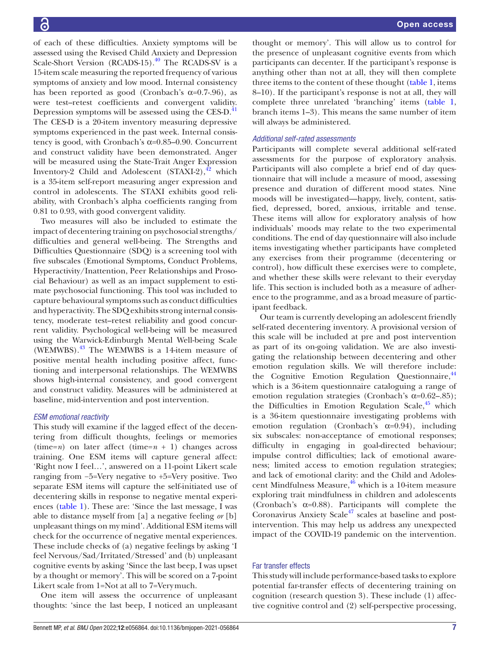of each of these difficulties. Anxiety symptoms will be assessed using the Revised Child Anxiety and Depression Scale-Short Version (RCADS-15).<sup>40</sup> The RCADS-SV is a 15-item scale measuring the reported frequency of various symptoms of anxiety and low mood. Internal consistency has been reported as good (Cronbach's  $\alpha$ =0.7-.96), as were test–retest coefficients and convergent validity. Depression symptoms will be assessed using the CES-D.<sup>[41](#page-11-0)</sup> The CES-D is a 20-item inventory measuring depressive symptoms experienced in the past week. Internal consistency is good, with Cronbach's  $\alpha$ =0.85–0.90. Concurrent and construct validity have been demonstrated. Anger will be measured using the State-Trait Anger Expression Inventory-2 Child and Adolescent  $(STAXI-2),<sup>42</sup>$  which is a 35-item self-report measuring anger expression and control in adolescents. The STAXI exhibits good reliability, with Cronbach's alpha coefficients ranging from 0.81 to 0.93, with good convergent validity.

Two measures will also be included to estimate the impact of decentering training on psychosocial strengths/ difficulties and general well-being. The Strengths and Difficulties Questionnaire (SDQ) is a screening tool with five subscales (Emotional Symptoms, Conduct Problems, Hyperactivity/Inattention, Peer Relationships and Prosocial Behaviour) as well as an impact supplement to estimate psychosocial functioning. This tool was included to capture behavioural symptoms such as conduct difficulties and hyperactivity. The SDQ exhibits strong internal consistency, moderate test–retest reliability and good concurrent validity. Psychological well-being will be measured using the Warwick-Edinburgh Mental Well-being Scale (WEMWBS).[43](#page-11-2) The WEMWBS is a 14-item measure of positive mental health including positive affect, functioning and interpersonal relationships. The WEMWBS shows high-internal consistency, and good convergent and construct validity. Measures will be administered at baseline, mid-intervention and post intervention.

# *ESM emotional reactivity*

This study will examine if the lagged effect of the decentering from difficult thoughts, feelings or memories (time=*n*) on later affect (time= $n + 1$ ) changes across training. One ESM items will capture general affect: 'Right now I feel…', answered on a 11-point Likert scale ranging from −5=Very negative to +5=Very positive. Two separate ESM items will capture the self-initiated use of decentering skills in response to negative mental experiences [\(table](#page-5-0) 1). These are: 'Since the last message, I was able to distance myself from [a] a negative feeling *or* [b] unpleasant things on my mind'. Additional ESM items will check for the occurrence of negative mental experiences. These include checks of (a) negative feelings by asking 'I feel Nervous/Sad/Irritated/Stressed' and (b) unpleasant cognitive events by asking 'Since the last beep, I was upset by a thought or memory'. This will be scored on a 7-point Likert scale from 1=Not at all to 7=Verymuch.

One item will assess the occurrence of unpleasant thoughts: 'since the last beep, I noticed an unpleasant

thought or memory'. This will allow us to control for the presence of unpleasant cognitive events from which participants can decenter. If the participant's response is anything other than not at all, they will then complete three items to the content of these thought [\(table](#page-5-0) 1, items 8–10). If the participant's response is not at all, they will complete three unrelated 'branching' items ([table](#page-5-0) 1, branch items 1–3). This means the same number of item will always be administered.

# *Additional self-rated assessments*

Participants will complete several additional self-rated assessments for the purpose of exploratory analysis. Participants will also complete a brief end of day questionnaire that will include a measure of mood, assessing presence and duration of different mood states. Nine moods will be investigated—happy, lively, content, satisfied, depressed, bored, anxious, irritable and tense. These items will allow for exploratory analysis of how individuals' moods may relate to the two experimental conditions. The end of day questionnaire will also include items investigating whether participants have completed any exercises from their programme (decentering or control), how difficult these exercises were to complete, and whether these skills were relevant to their everyday life. This section is included both as a measure of adherence to the programme, and as a broad measure of participant feedback.

Our team is currently developing an adolescent friendly self-rated decentering inventory. A provisional version of this scale will be included at pre and post intervention as part of its on-going validation. We are also investigating the relationship between decentering and other emotion regulation skills. We will therefore include: the Cognitive Emotion Regulation Questionnaire,<sup>[44](#page-11-3)</sup> which is a 36-item questionnaire cataloguing a range of emotion regulation strategies (Cronbach's  $\alpha$ =0.62–.85); the Difficulties in Emotion Regulation Scale,<sup>45</sup> which is a 36-item questionnaire investigating problems with emotion regulation (Cronbach's  $\alpha=0.94$ ), including six subscales: non-acceptance of emotional responses; difficulty in engaging in goal-directed behaviour; impulse control difficulties; lack of emotional awareness; limited access to emotion regulation strategies; and lack of emotional clarity: and the Child and Adolescent Mindfulness Measure,  $46$  which is a 10-item measure exploring trait mindfulness in children and adolescents (Cronbach's  $\alpha=0.88$ ). Participants will complete the Coronavirus Anxiety Scale<sup>47</sup> scales at baseline and postintervention. This may help us address any unexpected impact of the COVID-19 pandemic on the intervention.

# Far transfer effects

This study will include performance-based tasks to explore potential far-transfer effects of decentering training on cognition (research question 3). These include (1) affective cognitive control and (2) self-perspective processing,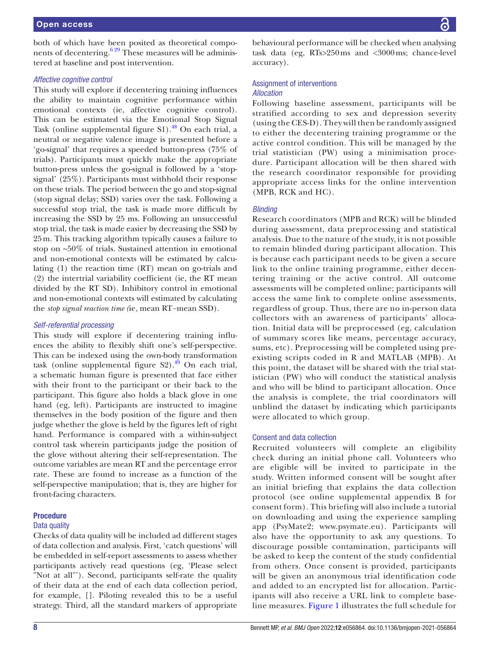both of which have been posited as theoretical components of decentering.<sup>629</sup> These measures will be administered at baseline and post intervention.

#### *Affective cognitive control*

This study will explore if decentering training influences the ability to maintain cognitive performance within emotional contexts (ie, affective cognitive control). This can be estimated via the Emotional Stop Signal Task ([online supplemental figure S1](https://dx.doi.org/10.1136/bmjopen-2021-056864)).<sup>[48](#page-11-7)</sup> On each trial, a neutral or negative valence image is presented before a 'go-signal' that requires a speeded button-press (75% of trials). Participants must quickly make the appropriate button-press unless the go-signal is followed by a 'stopsignal' (25%). Participants must withhold their response on these trials. The period between the go and stop-signal (stop signal delay; SSD) varies over the task. Following a successful stop trial, the task is made more difficult by increasing the SSD by 25 ms. Following an unsuccessful stop trial, the task is made easier by decreasing the SSD by 25m. This tracking algorithm typically causes a failure to stop on ~50% of trials. Sustained attention in emotional and non-emotional contexts will be estimated by calculating (1) the reaction time (RT) mean on go-trials and (2) the intertrial variability coefficient (ie, the RT mean divided by the RT SD). Inhibitory control in emotional and non-emotional contexts will estimated by calculating the *stop signal reaction time (*ie, mean RT−mean SSD).

#### *Self-referential processing*

This study will explore if decentering training influences the ability to flexibly shift one's self-perspective. This can be indexed using the own-body transformation task (online supplemental figure  $S2$ ).<sup>49</sup> On each trial, a schematic human figure is presented that face either with their front to the participant or their back to the participant. This figure also holds a black glove in one hand (eg, left). Participants are instructed to imagine themselves in the body position of the figure and then judge whether the glove is held by the figures left of right hand. Performance is compared with a within-subject control task wherein participants judge the position of the glove without altering their self-representation. The outcome variables are mean RT and the percentage error rate. These are found to increase as a function of the self-perspective manipulation; that is, they are higher for front-facing characters.

#### Procedure

#### Data quality

Checks of data quality will be included ad different stages of data collection and analysis. First, 'catch questions' will be embedded in self-report assessments to assess whether participants actively read questions (eg, 'Please select "Not at all"'). Second, participants self-rate the quality of their data at the end of each data collection period, for example, []. Piloting revealed this to be a useful strategy. Third, all the standard markers of appropriate

behavioural performance will be checked when analysing task data (eg, RTs>250ms and <3000ms; chance-level accuracy).

#### Assignment of interventions

#### *Allocation*

Following baseline assessment, participants will be stratified according to sex and depression severity (using the CES-D). They will then be randomly assigned to either the decentering training programme or the active control condition. This will be managed by the trial statistician (PW) using a minimisation procedure. Participant allocation will be then shared with the research coordinator responsible for providing appropriate access links for the online intervention (MPB, RCK and HC).

#### *Blinding*

Research coordinators (MPB and RCK) will be blinded during assessment, data preprocessing and statistical analysis. Due to the nature of the study, it is not possible to remain blinded during participant allocation. This is because each participant needs to be given a secure link to the online training programme, either decentering training or the active control. All outcome assessments will be completed online; participants will access the same link to complete online assessments, regardless of group. Thus, there are no in-person data collectors with an awareness of participants' allocation. Initial data will be preprocessed (eg, calculation of summary scores like means, percentage accuracy, sums, etc). Preprocessing will be completed using preexisting scripts coded in R and MATLAB (MPB). At this point, the dataset will be shared with the trial statistician (PW) who will conduct the statistical analysis and who will be blind to participant allocation. Once the analysis is complete, the trial coordinators will unblind the dataset by indicating which participants were allocated to which group.

#### Consent and data collection

Recruited volunteers will complete an eligibility check during an initial phone call. Volunteers who are eligible will be invited to participate in the study. Written informed consent will be sought after an initial briefing that explains the data collection protocol (see [online supplemental appendix B](https://dx.doi.org/10.1136/bmjopen-2021-056864) for consent form). This briefing will also include a tutorial on downloading and using the experience sampling app (PsyMate2; [www.psymate.eu\)](www.psymate.eu). Participants will also have the opportunity to ask any questions. To discourage possible contamination, participants will be asked to keep the content of the study confidential from others. Once consent is provided, participants will be given an anonymous trial identification code and added to an encrypted list for allocation. Participants will also receive a URL link to complete baseline measures. [Figure](#page-4-0) 1 illustrates the full schedule for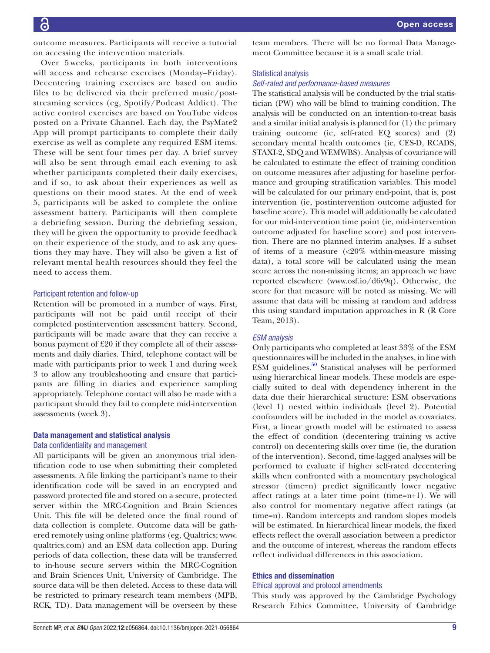outcome measures. Participants will receive a tutorial on accessing the intervention materials.

Over 5 weeks, participants in both interventions will access and rehearse exercises (Monday–Friday). Decentering training exercises are based on audio files to be delivered via their preferred music/poststreaming services (eg, Spotify/Podcast Addict). The active control exercises are based on YouTube videos posted on a Private Channel. Each day, the PsyMate2 App will prompt participants to complete their daily exercise as well as complete any required ESM items. These will be sent four times per day. A brief survey will also be sent through email each evening to ask whether participants completed their daily exercises, and if so, to ask about their experiences as well as questions on their mood states. At the end of week 5, participants will be asked to complete the online assessment battery. Participants will then complete a debriefing session. During the debriefing session, they will be given the opportunity to provide feedback on their experience of the study, and to ask any questions they may have. They will also be given a list of relevant mental health resources should they feel the need to access them.

#### Participant retention and follow-up

Retention will be promoted in a number of ways. First, participants will not be paid until receipt of their completed postintervention assessment battery. Second, participants will be made aware that they can receive a bonus payment of £20 if they complete all of their assessments and daily diaries. Third, telephone contact will be made with participants prior to week 1 and during week 3 to allow any troubleshooting and ensure that participants are filling in diaries and experience sampling appropriately. Telephone contact will also be made with a participant should they fail to complete mid-intervention assessments (week 3).

# Data management and statistical analysis

# Data confidentiality and management

All participants will be given an anonymous trial identification code to use when submitting their completed assessments. A file linking the participant's name to their identification code will be saved in an encrypted and password protected file and stored on a secure, protected server within the MRC-Cognition and Brain Sciences Unit. This file will be deleted once the final round of data collection is complete. Outcome data will be gathered remotely using online platforms (eg, Qualtrics; [www.](www.qualtrics.com) [qualtrics.com](www.qualtrics.com)) and an ESM data collection app. During periods of data collection, these data will be transferred to in-house secure servers within the MRC-Cognition and Brain Sciences Unit, University of Cambridge. The source data will be then deleted. Access to these data will be restricted to primary research team members (MPB, RCK, TD). Data management will be overseen by these

team members. There will be no formal Data Management Committee because it is a small scale trial.

#### Statistical analysis

#### *Self-rated and performance-based measures*

The statistical analysis will be conducted by the trial statistician (PW) who will be blind to training condition. The analysis will be conducted on an intention-to-treat basis and a similar initial analysis is planned for (1) the primary training outcome (ie, self-rated EQ scores) and (2) secondary mental health outcomes (ie, CES-D, RCADS, STAXI-2, SDQ and WEMWBS). Analysis of covariance will be calculated to estimate the effect of training condition on outcome measures after adjusting for baseline performance and grouping stratification variables. This model will be calculated for our primary end-point, that is, post intervention (ie, postintervention outcome adjusted for baseline score). This model will additionally be calculated for our mid-intervention time point (ie, mid-intervention outcome adjusted for baseline score) and post intervention. There are no planned interim analyses. If a subset of items of a measure  $\langle \langle 20\% \rangle$  within-measure missing data), a total score will be calculated using the mean score across the non-missing items; an approach we have reported elsewhere [\(www.osf.io/d6y9q\)](www.osf.io/d6y9q). Otherwise, the score for that measure will be noted as missing. We will assume that data will be missing at random and address this using standard imputation approaches in R (R Core Team, 2013).

#### *ESM analysis*

Only participants who completed at least 33% of the ESM questionnaires will be included in the analyses, in line with ESM guidelines.[50](#page-11-9) Statistical analyses will be performed using hierarchical linear models. These models are especially suited to deal with dependency inherent in the data due their hierarchical structure: ESM observations (level 1) nested within individuals (level 2). Potential confounders will be included in the model as covariates. First, a linear growth model will be estimated to assess the effect of condition (decentering training vs active control) on decentering skills over time (ie, the duration of the intervention). Second, time-lagged analyses will be performed to evaluate if higher self-rated decentering skills when confronted with a momentary psychological stressor (time=n) predict significantly lower negative affect ratings at a later time point (time=n+1). We will also control for momentary negative affect ratings (at time=n). Random intercepts and random slopes models will be estimated. In hierarchical linear models, the fixed effects reflect the overall association between a predictor and the outcome of interest, whereas the random effects reflect individual differences in this association.

#### Ethics and dissemination

#### Ethical approval and protocol amendments

This study was approved by the Cambridge Psychology Research Ethics Committee, University of Cambridge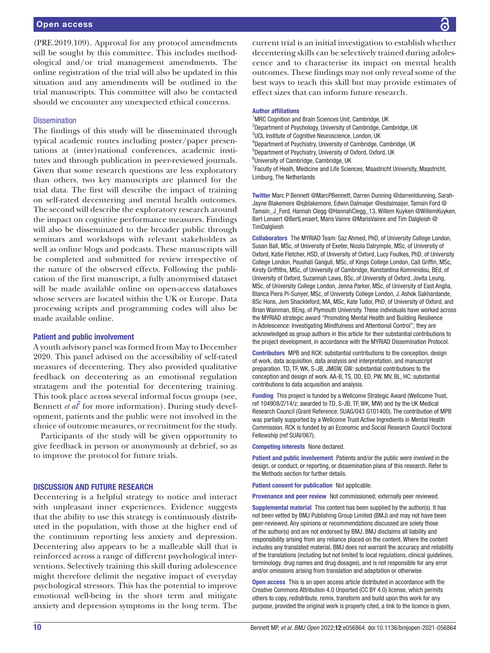(PRE.2019.109). Approval for any protocol amendments will be sought by this committee. This includes methodological and/or trial management amendments. The online registration of the trial will also be updated in this situation and any amendments will be outlined in the trial manuscripts. This committee will also be contacted should we encounter any unexpected ethical concerns.

#### **Dissemination**

The findings of this study will be disseminated through typical academic routes including poster/paper presentations at (inter)national conferences, academic institutes and through publication in peer-reviewed journals. Given that some research questions are less exploratory than others, two key manuscripts are planned for the trial data. The first will describe the impact of training on self-rated decentering and mental health outcomes. The second will describe the exploratory research around the impact on cognitive performance measures. Findings will also be disseminated to the broader public through seminars and workshops with relevant stakeholders as well as online blogs and podcasts. These manuscripts will be completed and submitted for review irrespective of the nature of the observed effects. Following the publication of the first manuscript, a fully anonymised dataset will be made available online on open-access databases whose servers are located within the UK or Europe. Data processing scripts and programming codes will also be made available online.

#### Patient and public involvement

A youth advisory panel was formed from May to December 2020. This panel advised on the accessibility of self-rated measures of decentering. They also provided qualitative feedback on decentering as an emotional regulation stratagem and the potential for decentering training. This took place across several informal focus groups (see, Bennett *et al<sup>†</sup>* for more information). During study development, patients and the public were not involved in the choice of outcome measures, or recruitment for the study.

Participants of the study will be given opportunity to give feedback in person or anonymously at debrief, so as to improve the protocol for future trials.

#### DISCUSSION AND FUTURE RESEARCH

Decentering is a helpful strategy to notice and interact with unpleasant inner experiences. Evidence suggests that the ability to use this strategy is continuously distributed in the population, with those at the higher end of the continuum reporting less anxiety and depression. Decentering also appears to be a malleable skill that is reinforced across a range of different psychological interventions. Selectively training this skill during adolescence might therefore delimit the negative impact of everyday psychological stressors. This has the potential to improve emotional well-being in the short term and mitigate anxiety and depression symptoms in the long term. The

current trial is an initial investigation to establish whether decentering skills can be selectively trained during adolescence and to characterise its impact on mental health outcomes. These findings may not only reveal some of the best ways to teach this skill but may provide estimates of effect sizes that can inform future research.

#### Author affiliations

<sup>1</sup>MRC Cognition and Brain Sciences Unit, Cambridge, UK <sup>2</sup>Department of Psychology, University of Cambridge, Cambridge, UK <sup>3</sup>UCL Institute of Cognitive Neuroscience, London, UK 4 Department of Psychiatry, University of Cambridge, Cambridge, UK 5 Department of Psychiatry, University of Oxford, Oxford, UK 6 University of Cambridge, Cambridge, UK

<sup>7</sup> Faculty of Healh, Medicine and Life Sciences, Maastricht University, Maastricht, Limburg, The Netherlands

Twitter Marc P Bennett [@MarcPBennett](https://twitter.com/MarcPBennett), Darren Dunning [@darrenldunning](https://twitter.com/darrenldunning), Sarah-Jayne Blakemore [@sjblakemore](https://twitter.com/sjblakemore), Edwin Dalmaijer [@esdalmaijer,](https://twitter.com/esdalmaijer) Tamsin Ford [@](https://twitter.com/Tamsin_J_Ford) Tamsin J Ford, Hannah Clegg @HannahClegg 13, Willem Kuyken [@WillemKuyken](https://twitter.com/WillemKuyken), Bert Lenaert [@BertLenaert](https://twitter.com/BertLenaert), Maris Vainre [@MarisVainre](https://twitter.com/MarisVainre) and Tim Dalgleish [@](https://twitter.com/TimDalgleish) **[TimDalgleish](https://twitter.com/TimDalgleish)** 

Collaborators The MYRIAD Team: Saz Ahmed, PhD, of University College London, Susan Ball, MSc, of University of Exeter, Nicola Dalrymple, MSc, of University of Oxford, Katie Fletcher, HSD, of University of Oxford, Lucy Foulkes, PhD, of University College London, Poushali Ganguli, MSc, of Kings College London, Cait Griffin, MSc, Kirsty Griffiths, MSc, of University of Cambridge, Konstantina Komninidou, BEd, of University of Oxford, Suzannah Laws, BSc, of University of Oxford, Jovita Leung, MSc, of University College London, Jenna Parker, MSc, of University of East Anglia, Blanca Piera Pi-Sunyer, MSc, of University College London, J. Ashok Sakhardande, BSc Hons, Jem Shackleford, MA, MSc, Kate Tudor, PhD, of University of Oxford, and Brian Wainman, BEng, of Plymouth University. These individuals have worked across the MYRIAD strategic award "Promoting Mental Health and Building Resilience in Adolescence: Investigating Mindfulness and Attentional Control"; they are acknowledged as group authors in this article for their substantial contributions to the project development, in accordance with the MYRIAD Dissemination Protocol.

Contributors MPB and RCK: substantial contributions to the conception, design of work, data acquisition, data analysis and interpretation, and manuscript preparation. TD, TF, WK, S-JB, JMGW, GW: substantial contributions to the conception and design of work. AA-B, TS, DD, ED, PW, MV, BL, HC: substantial contributions to data acquisition and analysis.

Funding This project is funded by a Wellcome Strategic Award (Wellcome Trust, ref 104908/Z/14/z; awarded to TD, S-JB, TF, WK, MW) and by the UK Medical Research Council (Grant Reference: SUAG/043 G101400). The contribution of MPB was partially supported by a Wellcome Trust Active Ingredients in Mental Heatlh Commission. RCK is funded by an Economic and Social Research Council Doctoral Fellowship (ref SUAI/067).

Competing interests None declared.

Patient and public involvement Patients and/or the public were involved in the design, or conduct, or reporting, or dissemination plans of this research. Refer to the Methods section for further details.

Patient consent for publication Not applicable.

Provenance and peer review Not commissioned; externally peer reviewed.

Supplemental material This content has been supplied by the author(s). It has not been vetted by BMJ Publishing Group Limited (BMJ) and may not have been peer-reviewed. Any opinions or recommendations discussed are solely those of the author(s) and are not endorsed by BMJ. BMJ disclaims all liability and responsibility arising from any reliance placed on the content. Where the content includes any translated material, BMJ does not warrant the accuracy and reliability of the translations (including but not limited to local regulations, clinical guidelines, terminology, drug names and drug dosages), and is not responsible for any error and/or omissions arising from translation and adaptation or otherwise.

Open access This is an open access article distributed in accordance with the Creative Commons Attribution 4.0 Unported (CC BY 4.0) license, which permits others to copy, redistribute, remix, transform and build upon this work for any purpose, provided the original work is properly cited, a link to the licence is given,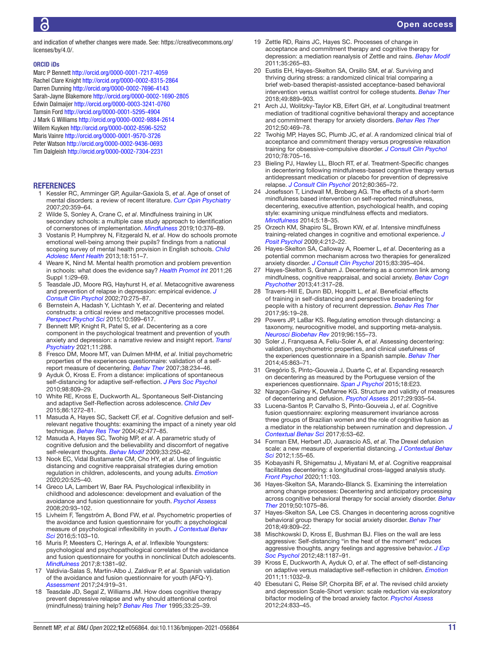and indication of whether changes were made. See: [https://creativecommons.org/](https://creativecommons.org/licenses/by/4.0/) [licenses/by/4.0/.](https://creativecommons.org/licenses/by/4.0/)

#### ORCID iDs

Marc P Bennett <http://orcid.org/0000-0001-7217-4059> Rachel Clare Knight<http://orcid.org/0000-0002-8315-2864> Darren Dunning <http://orcid.org/0000-0002-7696-4143> Sarah-Jayne Blakemore<http://orcid.org/0000-0002-1690-2805> Edwin Dalmaijer<http://orcid.org/0000-0003-3241-0760> Tamsin Ford<http://orcid.org/0000-0001-5295-4904> J Mark G Williams <http://orcid.org/0000-0002-9884-2614> Willem Kuyken <http://orcid.org/0000-0002-8596-5252> Maris Vainre<http://orcid.org/0000-0001-9570-3726> Peter Watson<http://orcid.org/0000-0002-9436-0693> Tim Dalgleish<http://orcid.org/0000-0002-7304-2231>

#### **REFERENCES**

- <span id="page-10-0"></span>1 Kessler RC, Amminger GP, Aguilar-Gaxiola S, *et al*. Age of onset of mental disorders: a review of recent literature. *[Curr Opin Psychiatry](http://dx.doi.org/10.1097/YCO.0b013e32816ebc8c)* 2007;20:359–64.
- <span id="page-10-1"></span>2 Wilde S, Sonley A, Crane C, *et al*. Mindfulness training in UK secondary schools: a multiple case study approach to identification of cornerstones of implementation. *[Mindfulness](http://dx.doi.org/10.1007/s12671-018-0982-4)* 2019;10:376–89.
- 3 Vostanis P, Humphrey N, Fitzgerald N, *et al*. How do schools promote emotional well-being among their pupils? findings from a national scoping survey of mental health provision in English schools. *[Child](http://dx.doi.org/10.1111/j.1475-3588.2012.00677.x)  [Adolesc Ment Health](http://dx.doi.org/10.1111/j.1475-3588.2012.00677.x)* 2013;18:151–7.
- 4 Weare K, Nind M. Mental health promotion and problem prevention in schools: what does the evidence say? *[Health Promot Int](http://dx.doi.org/10.1093/heapro/dar075)* 2011;26 Suppl 1:i29–69.
- <span id="page-10-2"></span>5 Teasdale JD, Moore RG, Hayhurst H, *et al*. Metacognitive awareness and prevention of relapse in depression: empirical evidence. *[J](http://dx.doi.org/10.1037/0022-006X.70.2.275)  [Consult Clin Psychol](http://dx.doi.org/10.1037/0022-006X.70.2.275)* 2002;70:275–87.
- <span id="page-10-3"></span>6 Bernstein A, Hadash Y, Lichtash Y, *et al*. Decentering and related constructs: a critical review and metacognitive processes model. *[Perspect Psychol Sci](http://dx.doi.org/10.1177/1745691615594577)* 2015;10:599–617.
- <span id="page-10-7"></span>7 Bennett MP, Knight R, Patel S, *et al*. Decentering as a core component in the psychological treatment and prevention of youth anxiety and depression: a narrative review and insight report. *[Transl](http://dx.doi.org/10.1038/s41398-021-01397-5)  [Psychiatry](http://dx.doi.org/10.1038/s41398-021-01397-5)* 2021;11:288.
- <span id="page-10-4"></span>8 Fresco DM, Moore MT, van Dulmen MHM, *et al*. Initial psychometric properties of the experiences questionnaire: validation of a selfreport measure of decentering. *[Behav Ther](http://dx.doi.org/10.1016/j.beth.2006.08.003)* 2007;38:234–46.
- <span id="page-10-5"></span>9 Ayduk Ö, Kross E. From a distance: implications of spontaneous self-distancing for adaptive self-reflection. *[J Pers Soc Psychol](http://dx.doi.org/10.1037/a0019205)* 2010;98:809–29.
- 10 White RE, Kross E, Duckworth AL. Spontaneous Self-Distancing and adaptive Self-Reflection across adolescence. *[Child Dev](http://dx.doi.org/10.1111/cdev.12370)* 2015;86:1272–81.
- 11 Masuda A, Hayes SC, Sackett CF, *et al*. Cognitive defusion and selfrelevant negative thoughts: examining the impact of a ninety year old technique. *[Behav Res Ther](http://dx.doi.org/10.1016/j.brat.2003.10.008)* 2004;42:477–85.
- 12 Masuda A, Hayes SC, Twohig MP, *et al*. A parametric study of cognitive defusion and the believability and discomfort of negative self-relevant thoughts. *[Behav Modif](http://dx.doi.org/10.1177/0145445508326259)* 2009;33:250–62.
- 13 Nook EC, Vidal Bustamante CM, Cho HY, *et al*. Use of linguistic distancing and cognitive reappraisal strategies during emotion regulation in children, adolescents, and young adults. *[Emotion](http://dx.doi.org/10.1037/emo0000570)* 2020;20:525–40.
- <span id="page-10-6"></span>14 Greco LA, Lambert W, Baer RA. Psychological inflexibility in childhood and adolescence: development and evaluation of the avoidance and fusion questionnaire for youth. *[Psychol Assess](http://dx.doi.org/10.1037/1040-3590.20.2.93)* 2008;20:93–102.
- 15 Livheim F, Tengström A, Bond FW, *et al*. Psychometric properties of the avoidance and fusion questionnaire for youth: a psychological measure of psychological inflexibility in youth. *[J Contextual Behav](http://dx.doi.org/10.1016/j.jcbs.2016.04.001)  [Sci](http://dx.doi.org/10.1016/j.jcbs.2016.04.001)* 2016;5:103–10.
- 16 Muris P, Meesters C, Herings A, *et al*. Inflexible Youngsters: psychological and psychopathological correlates of the avoidance and fusion questionnaire for youths in nonclinical Dutch adolescents. *[Mindfulness](http://dx.doi.org/10.1007/s12671-017-0714-1)* 2017;8:1381–92.
- 17 Valdivia-Salas S, Martín-Albo J, Zaldivar P, *et al*. Spanish validation of the avoidance and fusion questionnaire for youth (AFQ-Y). *[Assessment](http://dx.doi.org/10.1177/1073191116632338)* 2017;24:919–31.
- <span id="page-10-8"></span>18 Teasdale JD, Segal Z, Williams JM. How does cognitive therapy prevent depressive relapse and why should attentional control (mindfulness) training help? *[Behav Res Ther](http://dx.doi.org/10.1016/0005-7967(94)E0011-7)* 1995;33:25–39.
- 19 Zettle RD, Rains JC, Hayes SC. Processes of change in acceptance and commitment therapy and cognitive therapy for depression: a mediation reanalysis of Zettle and rains. *[Behav Modif](http://dx.doi.org/10.1177/0145445511398344)* 2011;35:265–83.
- <span id="page-10-9"></span>20 Eustis EH, Hayes-Skelton SA, Orsillo SM, *et al*. Surviving and thriving during stress: a randomized clinical trial comparing a brief web-based therapist-assisted acceptance-based behavioral intervention versus waitlist control for college students. *[Behav Ther](http://dx.doi.org/10.1016/j.beth.2018.05.009)* 2018;49:889–903.
- <span id="page-10-11"></span>21 Arch JJ, Wolitzky-Taylor KB, Eifert GH, *et al*. Longitudinal treatment mediation of traditional cognitive behavioral therapy and acceptance and commitment therapy for anxiety disorders. *[Behav Res Ther](http://dx.doi.org/10.1016/j.brat.2012.04.007)* 2012;50:469–78.
- 22 Twohig MP, Hayes SC, Plumb JC, *et al*. A randomized clinical trial of acceptance and commitment therapy versus progressive relaxation training for obsessive-compulsive disorder. *[J Consult Clin Psychol](http://dx.doi.org/10.1037/a0020508)* 2010;78:705–16.
- <span id="page-10-10"></span>23 Bieling PJ, Hawley LL, Bloch RT, *et al*. Treatment-Specific changes in decentering following mindfulness-based cognitive therapy versus antidepressant medication or placebo for prevention of depressive relapse. *[J Consult Clin Psychol](http://dx.doi.org/10.1037/a0027483)* 2012;80:365–72.
- 24 Josefsson T, Lindwall M, Broberg AG. The effects of a short-term mindfulness based intervention on self-reported mindfulness decentering, executive attention, psychological health, and coping style: examining unique mindfulness effects and mediators. *[Mindfulness](http://dx.doi.org/10.1007/s12671-012-0142-1)* 2014;5:18–35.
- 25 Orzech KM, Shapiro SL, Brown KW, *et al*. Intensive mindfulness training-related changes in cognitive and emotional experience. *[J](http://dx.doi.org/10.1080/17439760902819394)  [Posit Psychol](http://dx.doi.org/10.1080/17439760902819394)* 2009;4:212–22.
- 26 Hayes-Skelton SA, Calloway A, Roemer L, *et al*. Decentering as a potential common mechanism across two therapies for generalized anxiety disorder. *[J Consult Clin Psychol](http://dx.doi.org/10.1037/a0038305)* 2015;83:395–404.
- <span id="page-10-15"></span>27 Hayes-Skelton S, Graham J. Decentering as a common link among mindfulness, cognitive reappraisal, and social anxiety. *[Behav Cogn](http://dx.doi.org/10.1017/S1352465812000902)  [Psychother](http://dx.doi.org/10.1017/S1352465812000902)* 2013;41:317–28.
- <span id="page-10-12"></span>28 Travers-Hill E, Dunn BD, Hoppitt L, *et al*. Beneficial effects of training in self-distancing and perspective broadening for people with a history of recurrent depression. *[Behav Res Ther](http://dx.doi.org/10.1016/j.brat.2017.05.008)* 2017;95:19–28.
- <span id="page-10-13"></span>29 Powers JP, LaBar KS. Regulating emotion through distancing: a taxonomy, neurocognitive model, and supporting meta-analysis. *[Neurosci Biobehav Rev](http://dx.doi.org/10.1016/j.neubiorev.2018.04.023)* 2019;96:155–73.
- <span id="page-10-14"></span>30 Soler J, Franquesa A, Feliu-Soler A, *et al*. Assessing decentering: validation, psychometric properties, and clinical usefulness of the experiences questionnaire in a Spanish sample. *[Behav Ther](http://dx.doi.org/10.1016/j.beth.2014.05.004)* 2014;45:863–71.
- 31 Gregório S, Pinto-Gouveia J, Duarte C, *et al*. Expanding research on decentering as measured by the Portuguese version of the experiences questionnaire. *[Span J Psychol](http://dx.doi.org/10.1017/sjp.2015.18)* 2015;18:E23.
- 32 Naragon-Gainey K, DeMarree KG. Structure and validity of measures of decentering and defusion. *[Psychol Assess](http://dx.doi.org/10.1037/pas0000405)* 2017;29:935–54.
- 33 Lucena-Santos P, Carvalho S, Pinto-Gouveia J, *et al*. Cognitive fusion questionnaire: exploring measurement invariance across three groups of Brazilian women and the role of cognitive fusion as a mediator in the relationship between rumination and depression. *[J](http://dx.doi.org/10.1016/j.jcbs.2017.02.004)  [Contextual Behav Sci](http://dx.doi.org/10.1016/j.jcbs.2017.02.004)* 2017;6:53–62.
- 34 Forman EM, Herbert JD, Juarascio AS, *et al*. The Drexel defusion scale: a new measure of experiential distancing. *[J Contextual Behav](http://dx.doi.org/10.1016/j.jcbs.2012.09.001)  [Sci](http://dx.doi.org/10.1016/j.jcbs.2012.09.001)* 2012;1:55–65.
- 35 Kobayashi R, Shigematsu J, Miyatani M, *et al*. Cognitive reappraisal facilitates decentering: a longitudinal cross-lagged analysis study. *[Front Psychol](http://dx.doi.org/10.3389/fpsyg.2020.00103)* 2020;11:103.
- 36 Hayes-Skelton SA, Marando-Blanck S. Examining the interrelation among change processes: Decentering and anticipatory processing across cognitive behavioral therapy for social anxiety disorder. *[Behav](http://dx.doi.org/10.1016/j.beth.2019.03.004)  [Ther](http://dx.doi.org/10.1016/j.beth.2019.03.004)* 2019;50:1075–86.
- 37 Hayes-Skelton SA, Lee CS. Changes in decentering across cognitive behavioral group therapy for social anxiety disorder. *[Behav Ther](http://dx.doi.org/10.1016/j.beth.2018.01.005)* 2018;49:809–22.
- <span id="page-10-16"></span>38 Mischkowski D, Kross E, Bushman BJ. Flies on the wall are less aggressive: Self-distancing "in the heat of the moment" reduces aggressive thoughts, angry feelings and aggressive behavior. *[J Exp](http://dx.doi.org/10.1016/j.jesp.2012.03.012)  [Soc Psychol](http://dx.doi.org/10.1016/j.jesp.2012.03.012)* 2012;48:1187–91.
- 39 Kross E, Duckworth A, Ayduk O, *et al*. The effect of self-distancing on adaptive versus maladaptive self-reflection in children. *[Emotion](http://dx.doi.org/10.1037/a0021787)* 2011;11:1032–9.
- <span id="page-10-17"></span>40 Ebesutani C, Reise SP, Chorpita BF, *et al*. The revised child anxiety and depression Scale-Short version: scale reduction via exploratory bifactor modeling of the broad anxiety factor. *[Psychol Assess](http://dx.doi.org/10.1037/a0027283)* 2012;24:833–45.